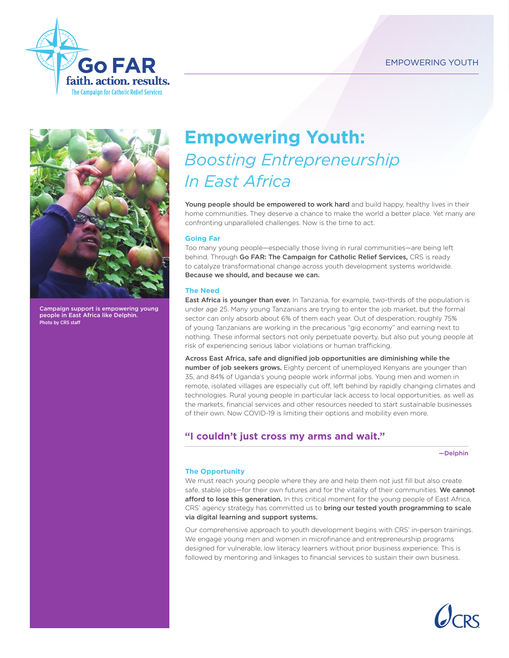# EMPOWERING YOUTH





Campaign support is empowering young people in East Africa like Delphin. Photo by CRS staff

# **Empowering Youth:**  *Boosting Entrepreneurship In East Africa*

Young people should be empowered to work hard and build happy, healthy lives in their home communities. They deserve a chance to make the world a better place. Yet many are confronting unparalleled challenges. Now is the time to act.

## **Going Far**

Too many young people—especially those living in rural communities—are being left behind. Through Go FAR: The Campaign for Catholic Relief Services, CRS is ready to catalyze transformational change across youth development systems worldwide. Because we should, and because we can.

## **The Need**

East Africa is younger than ever. In Tanzania, for example, two-thirds of the population is under age 25. Many young Tanzanians are trying to enter the job market, but the formal sector can only absorb about 6% of them each year. Out of desperation, roughly 75% of young Tanzanians are working in the precarious "gig economy" and earning next to nothing. These informal sectors not only perpetuate poverty, but also put young people at risk of experiencing serious labor violations or human trafficking.

Across East Africa, safe and dignified job opportunities are diminishing while the number of job seekers grows. Eighty percent of unemployed Kenyans are younger than 35, and 84% of Uganda's young people work informal jobs. Young men and women in remote, isolated villages are especially cut off, left behind by rapidly changing climates and technologies. Rural young people in particular lack access to local opportunities, as well as the markets, financial services and other resources needed to start sustainable businesses of their own. Now COVID-19 is limiting their options and mobility even more.

# **"I couldn't just cross my arms and wait."**

—Delphin

## **The Opportunity**

We must reach young people where they are and help them not just fill but also create safe, stable jobs—for their own futures and for the vitality of their communities. We cannot afford to lose this generation. In this critical moment for the young people of East Africa, CRS' agency strategy has committed us to bring our tested youth programming to scale via digital learning and support systems.

Our comprehensive approach to youth development begins with CRS' in-person trainings. We engage young men and women in microfinance and entrepreneurship programs designed for vulnerable, low literacy learners without prior business experience. This is followed by mentoring and linkages to financial services to sustain their own business.